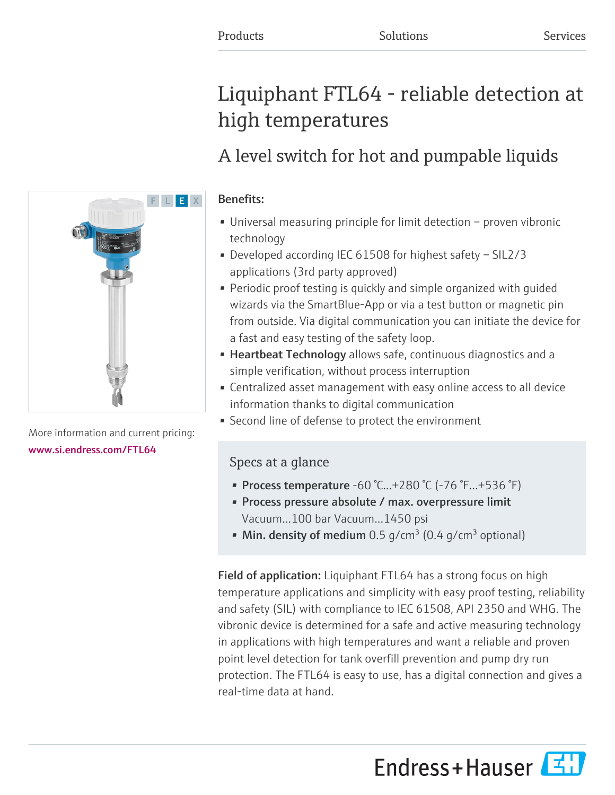# Liquiphant FTL64 - reliable detection at high temperatures

## A level switch for hot and pumpable liquids

## Benefits:

- Universal measuring principle for limit detection proven vibronic technology
- Developed according IEC 61508 for highest safety SIL2/3 applications (3rd party approved)
- Periodic proof testing is quickly and simple organized with guided wizards via the SmartBlue-App or via a test button or magnetic pin from outside. Via digital communication you can initiate the device for a fast and easy testing of the safety loop.
- Heartbeat Technology allows safe, continuous diagnostics and a simple verification, without process interruption
- Centralized asset management with easy online access to all device information thanks to digital communication
- Second line of defense to protect the environment

## Specs at a glance

- Process temperature  $-60$  °C... $+280$  °C ( $-76$  °F... $+536$  °F)
- Process pressure absolute / max. overpressure limit Vacuum...100 bar Vacuum...1450 psi
- Min. density of medium 0.5 g/cm<sup>3</sup> (0.4 g/cm<sup>3</sup> optional)

Field of application: Liquiphant FTL64 has a strong focus on high temperature applications and simplicity with easy proof testing, reliability and safety (SIL) with compliance to IEC 61508, API 2350 and WHG. The vibronic device is determined for a safe and active measuring technology in applications with high temperatures and want a reliable and proven point level detection for tank overfill prevention and pump dry run protection. The FTL64 is easy to use, has a digital connection and gives a real-time data at hand.

Endress+Hauser



More information and current pricing: [www.si.endress.com/FTL64](https://www.si.endress.com/FTL64)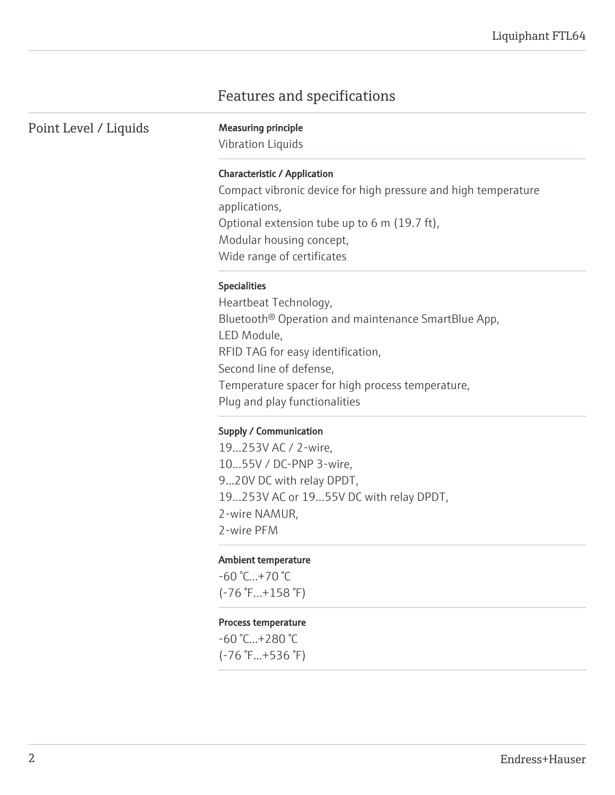## Features and specifications

Point Level / Liquids Measuring principle

Vibration Liquids

#### Characteristic / Application

Compact vibronic device for high pressure and high temperature applications, Optional extension tube up to 6 m (19.7 ft), Modular housing concept, Wide range of certificates

#### Specialities

Heartbeat Technology, Bluetooth® Operation and maintenance SmartBlue App, LED Module, RFID TAG for easy identification, Second line of defense, Temperature spacer for high process temperature, Plug and play functionalities

#### Supply / Communication

19...253V AC / 2-wire, 10...55V / DC-PNP 3-wire, 9...20V DC with relay DPDT, 19...253V AC or 19...55V DC with relay DPDT, 2-wire NAMUR, 2-wire PFM

#### Ambient temperature

 $-60 °C...+70 °C$ (-76 °F...+158 °F)

#### Process temperature

-60 °C...+280 °C (-76 °F...+536 °F)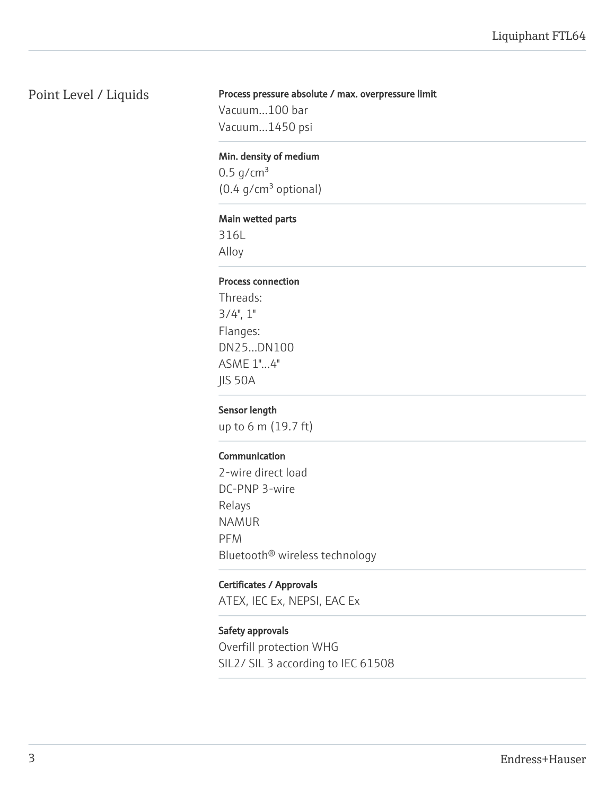## Point Level / Liquids

#### Process pressure absolute / max. overpressure limit

Vacuum...100 bar Vacuum...1450 psi

#### Min. density of medium

 $0.5$  g/cm<sup>3</sup>  $(0.4 g/cm<sup>3</sup>$  optional)

#### Main wetted parts

316L Alloy

#### Process connection

Threads:  $3/4$ ",  $1$ " Flanges: DN25...DN100 ASME 1"...4" JIS 50A

#### Sensor length

up to 6 m (19.7 ft)

#### Communication

2-wire direct load DC-PNP 3-wire Relays NAMUR PFM Bluetooth® wireless technology

#### Certificates / Approvals

ATEX, IEC Ex, NEPSI, EAC Ex

#### Safety approvals

Overfill protection WHG SIL2/ SIL 3 according to IEC 61508